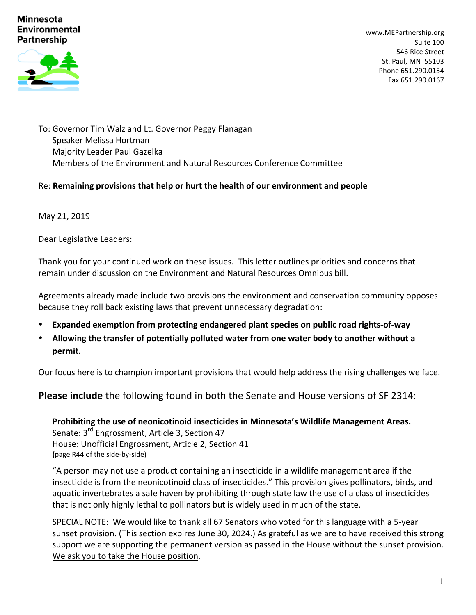#### **Minnesota Environmental Partnership**



www.MEPartnership.org Suite 100 546 Rice Street St. Paul, MN 55103 Phone 651.290.0154 Fax 651.290.0167

To: Governor Tim Walz and Lt. Governor Peggy Flanagan Speaker Melissa Hortman Majority Leader Paul Gazelka Members of the Environment and Natural Resources Conference Committee

#### Re: Remaining provisions that help or hurt the health of our environment and people

May 21, 2019

Dear Legislative Leaders:

Thank you for your continued work on these issues. This letter outlines priorities and concerns that remain under discussion on the Environment and Natural Resources Omnibus bill.

Agreements already made include two provisions the environment and conservation community opposes because they roll back existing laws that prevent unnecessary degradation:

- **Expanded exemption from protecting endangered plant species on public road rights-of-way**
- Allowing the transfer of potentially polluted water from one water body to another without a **permit.**

Our focus here is to champion important provisions that would help address the rising challenges we face.

# **Please include** the following found in both the Senate and House versions of SF 2314:

Prohibiting the use of neonicotinoid insecticides in Minnesota's Wildlife Management Areas. Senate: 3<sup>rd</sup> Engrossment, Article 3, Section 47 House: Unofficial Engrossment, Article 2, Section 41 **(**page R44 of the side-by-side)

"A person may not use a product containing an insecticide in a wildlife management area if the insecticide is from the neonicotinoid class of insecticides." This provision gives pollinators, birds, and aquatic invertebrates a safe haven by prohibiting through state law the use of a class of insecticides that is not only highly lethal to pollinators but is widely used in much of the state.

SPECIAL NOTE: We would like to thank all 67 Senators who voted for this language with a 5-year sunset provision. (This section expires June 30, 2024.) As grateful as we are to have received this strong support we are supporting the permanent version as passed in the House without the sunset provision. We ask you to take the House position.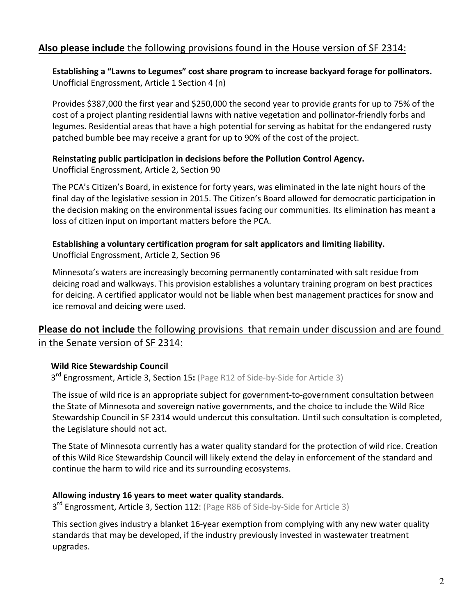# **Also please include** the following provisions found in the House version of SF 2314:

Establishing a "Lawns to Legumes" cost share program to increase backyard forage for pollinators. Unofficial Engrossment, Article 1 Section 4 (n)

Provides \$387,000 the first year and \$250,000 the second year to provide grants for up to 75% of the cost of a project planting residential lawns with native vegetation and pollinator-friendly forbs and legumes. Residential areas that have a high potential for serving as habitat for the endangered rusty patched bumble bee may receive a grant for up to 90% of the cost of the project.

#### **Reinstating public participation in decisions before the Pollution Control Agency.**

Unofficial Engrossment, Article 2, Section 90

The PCA's Citizen's Board, in existence for forty years, was eliminated in the late night hours of the final day of the legislative session in 2015. The Citizen's Board allowed for democratic participation in the decision making on the environmental issues facing our communities. Its elimination has meant a loss of citizen input on important matters before the PCA.

## **Establishing a voluntary certification program for salt applicators and limiting liability.** Unofficial Engrossment, Article 2, Section 96

Minnesota's waters are increasingly becoming permanently contaminated with salt residue from deicing road and walkways. This provision establishes a voluntary training program on best practices for deicing. A certified applicator would not be liable when best management practices for snow and ice removal and deicing were used.

# **Please do not include** the following provisions that remain under discussion and are found in the Senate version of SF 2314:

### **Wild Rice Stewardship Council**

3<sup>rd</sup> Engrossment, Article 3, Section 15: (Page R12 of Side-by-Side for Article 3)

The issue of wild rice is an appropriate subject for government-to-government consultation between the State of Minnesota and sovereign native governments, and the choice to include the Wild Rice Stewardship Council in SF 2314 would undercut this consultation. Until such consultation is completed, the Legislature should not act.

The State of Minnesota currently has a water quality standard for the protection of wild rice. Creation of this Wild Rice Stewardship Council will likely extend the delay in enforcement of the standard and continue the harm to wild rice and its surrounding ecosystems.

### Allowing industry 16 years to meet water quality standards.

3<sup>rd</sup> Engrossment, Article 3, Section 112: (Page R86 of Side-by-Side for Article 3)

This section gives industry a blanket 16-year exemption from complying with any new water quality standards that may be developed, if the industry previously invested in wastewater treatment upgrades.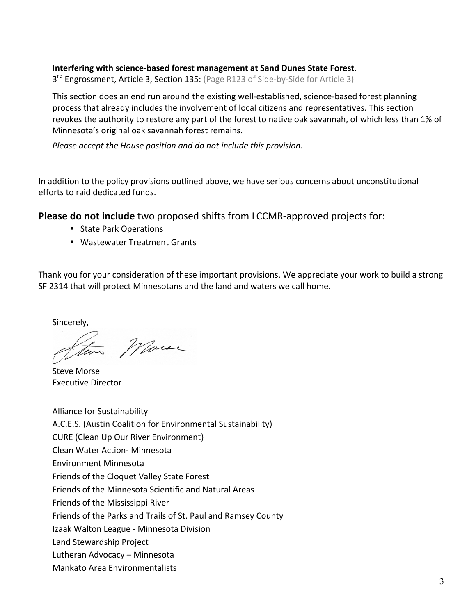## **Interfering with science-based forest management at Sand Dunes State Forest.**

3<sup>rd</sup> Engrossment, Article 3, Section 135: (Page R123 of Side-by-Side for Article 3)

This section does an end run around the existing well-established, science-based forest planning process that already includes the involvement of local citizens and representatives. This section revokes the authority to restore any part of the forest to native oak savannah, of which less than 1% of Minnesota's original oak savannah forest remains.

*Please accept the House position and do not include this provision.* 

In addition to the policy provisions outlined above, we have serious concerns about unconstitutional efforts to raid dedicated funds.

**Please do not include** two proposed shifts from LCCMR-approved projects for:

- State Park Operations
- Wastewater Treatment Grants

Thank you for your consideration of these important provisions. We appreciate your work to build a strong SF 2314 that will protect Minnesotans and the land and waters we call home.

Sincerely,

Two More

Steve Morse Executive Director

Alliance for Sustainability A.C.E.S. (Austin Coalition for Environmental Sustainability) CURE (Clean Up Our River Environment) Clean Water Action- Minnesota Environment Minnesota Friends of the Cloquet Valley State Forest Friends of the Minnesota Scientific and Natural Areas Friends of the Mississippi River Friends of the Parks and Trails of St. Paul and Ramsey County Izaak Walton League - Minnesota Division Land Stewardship Project Lutheran Advocacy – Minnesota Mankato Area Environmentalists